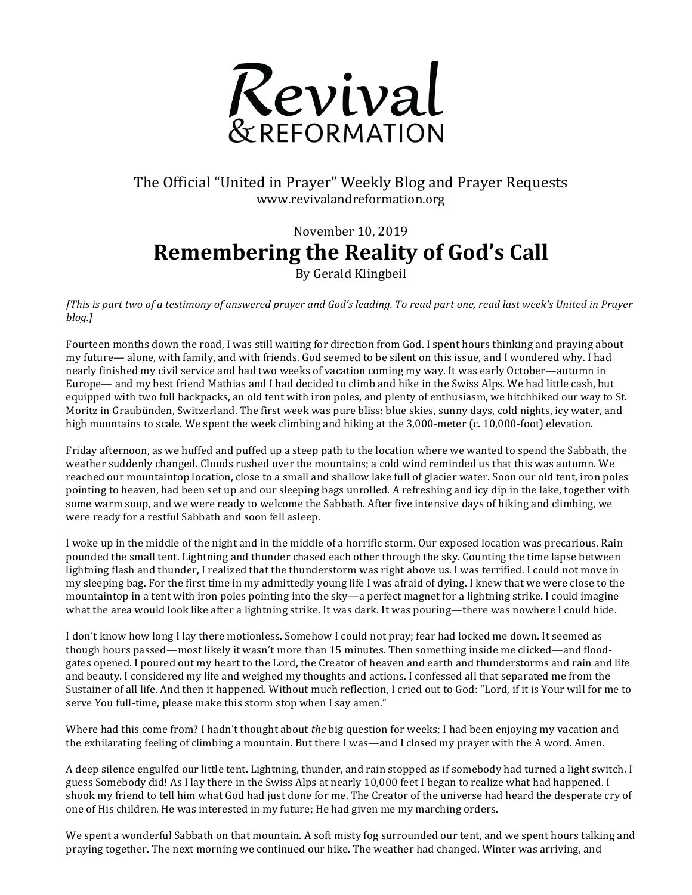

## The Official "United in Prayer" Weekly Blog and Prayer Requests www.revivalandreformation.org

## November 10, 2019 **Remembering the Reality of God's Call**

By Gerald Klingbeil

*[This is part two of a testimony of answered prayer and God's leading. To read part one, read last week's United in Prayer blog.]*

Fourteen months down the road, I was still waiting for direction from God. I spent hours thinking and praying about my future— alone, with family, and with friends. God seemed to be silent on this issue, and I wondered why. I had nearly finished my civil service and had two weeks of vacation coming my way. It was early October—autumn in Europe— and my best friend Mathias and I had decided to climb and hike in the Swiss Alps. We had little cash, but equipped with two full backpacks, an old tent with iron poles, and plenty of enthusiasm, we hitchhiked our way to St. Moritz in Graubünden, Switzerland. The first week was pure bliss: blue skies, sunny days, cold nights, icy water, and high mountains to scale. We spent the week climbing and hiking at the  $3,000$ -meter (c. 10,000-foot) elevation.

Friday afternoon, as we huffed and puffed up a steep path to the location where we wanted to spend the Sabbath, the weather suddenly changed. Clouds rushed over the mountains; a cold wind reminded us that this was autumn. We reached our mountaintop location, close to a small and shallow lake full of glacier water. Soon our old tent, iron poles pointing to heaven, had been set up and our sleeping bags unrolled. A refreshing and icy dip in the lake, together with some warm soup, and we were ready to welcome the Sabbath. After five intensive days of hiking and climbing, we were ready for a restful Sabbath and soon fell asleep.

I woke up in the middle of the night and in the middle of a horrific storm. Our exposed location was precarious. Rain pounded the small tent. Lightning and thunder chased each other through the sky. Counting the time lapse between lightning flash and thunder. I realized that the thunderstorm was right above us. I was terrified. I could not move in my sleeping bag. For the first time in my admittedly young life I was afraid of dying. I knew that we were close to the mountaintop in a tent with iron poles pointing into the sky—a perfect magnet for a lightning strike. I could imagine what the area would look like after a lightning strike. It was dark. It was pouring—there was nowhere I could hide.

I don't know how long I lay there motionless. Somehow I could not pray; fear had locked me down. It seemed as though hours passed—most likely it wasn't more than 15 minutes. Then something inside me clicked—and floodgates opened. I poured out my heart to the Lord, the Creator of heaven and earth and thunderstorms and rain and life and beauty. I considered my life and weighed my thoughts and actions. I confessed all that separated me from the Sustainer of all life. And then it happened. Without much reflection, I cried out to God: "Lord, if it is Your will for me to serve You full-time, please make this storm stop when I say amen."

Where had this come from? I hadn't thought about *the* big question for weeks; I had been enjoying my vacation and the exhilarating feeling of climbing a mountain. But there I was—and I closed my prayer with the A word. Amen.

A deep silence engulfed our little tent. Lightning, thunder, and rain stopped as if somebody had turned a light switch. I guess Somebody did! As I lay there in the Swiss Alps at nearly 10,000 feet I began to realize what had happened. I shook my friend to tell him what God had just done for me. The Creator of the universe had heard the desperate cry of one of His children. He was interested in my future; He had given me my marching orders.

We spent a wonderful Sabbath on that mountain. A soft misty fog surrounded our tent, and we spent hours talking and praying together. The next morning we continued our hike. The weather had changed. Winter was arriving, and